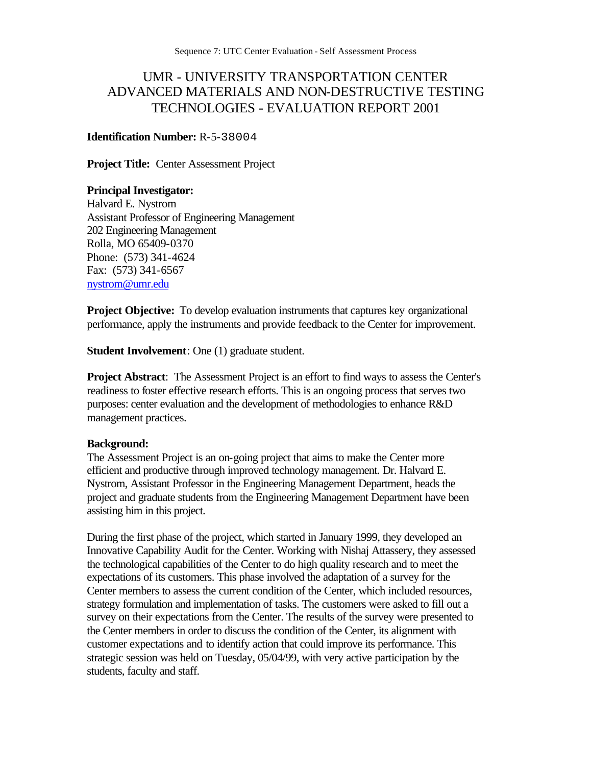# UMR - UNIVERSITY TRANSPORTATION CENTER ADVANCED MATERIALS AND NON-DESTRUCTIVE TESTING TECHNOLOGIES - EVALUATION REPORT 2001

#### **Identification Number:** R-5-38004

**Project Title:** Center Assessment Project

#### **Principal Investigator:**

Halvard E. Nystrom Assistant Professor of Engineering Management 202 Engineering Management Rolla, MO 65409-0370 Phone: (573) 341-4624 Fax: (573) 341-6567 nystrom@umr.edu

**Project Objective:** To develop evaluation instruments that captures key organizational performance, apply the instruments and provide feedback to the Center for improvement.

**Student Involvement**: One (1) graduate student.

**Project Abstract**: The Assessment Project is an effort to find ways to assess the Center's readiness to foster effective research efforts. This is an ongoing process that serves two purposes: center evaluation and the development of methodologies to enhance R&D management practices.

#### **Background:**

The Assessment Project is an on-going project that aims to make the Center more efficient and productive through improved technology management. Dr. Halvard E. Nystrom, Assistant Professor in the Engineering Management Department, heads the project and graduate students from the Engineering Management Department have been assisting him in this project.

During the first phase of the project, which started in January 1999, they developed an Innovative Capability Audit for the Center. Working with Nishaj Attassery, they assessed the technological capabilities of the Center to do high quality research and to meet the expectations of its customers. This phase involved the adaptation of a survey for the Center members to assess the current condition of the Center, which included resources, strategy formulation and implementation of tasks. The customers were asked to fill out a survey on their expectations from the Center. The results of the survey were presented to the Center members in order to discuss the condition of the Center, its alignment with customer expectations and to identify action that could improve its performance. This strategic session was held on Tuesday, 05/04/99, with very active participation by the students, faculty and staff.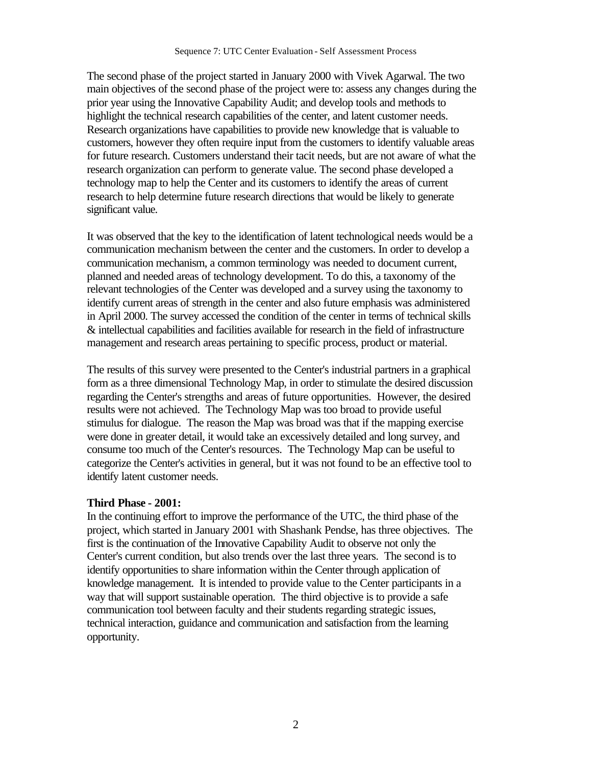The second phase of the project started in January 2000 with Vivek Agarwal. The two main objectives of the second phase of the project were to: assess any changes during the prior year using the Innovative Capability Audit; and develop tools and methods to highlight the technical research capabilities of the center, and latent customer needs. Research organizations have capabilities to provide new knowledge that is valuable to customers, however they often require input from the customers to identify valuable areas for future research. Customers understand their tacit needs, but are not aware of what the research organization can perform to generate value. The second phase developed a technology map to help the Center and its customers to identify the areas of current research to help determine future research directions that would be likely to generate significant value.

It was observed that the key to the identification of latent technological needs would be a communication mechanism between the center and the customers. In order to develop a communication mechanism, a common terminology was needed to document current, planned and needed areas of technology development. To do this, a taxonomy of the relevant technologies of the Center was developed and a survey using the taxonomy to identify current areas of strength in the center and also future emphasis was administered in April 2000. The survey accessed the condition of the center in terms of technical skills & intellectual capabilities and facilities available for research in the field of infrastructure management and research areas pertaining to specific process, product or material.

The results of this survey were presented to the Center's industrial partners in a graphical form as a three dimensional Technology Map, in order to stimulate the desired discussion regarding the Center's strengths and areas of future opportunities. However, the desired results were not achieved. The Technology Map was too broad to provide useful stimulus for dialogue. The reason the Map was broad was that if the mapping exercise were done in greater detail, it would take an excessively detailed and long survey, and consume too much of the Center's resources. The Technology Map can be useful to categorize the Center's activities in general, but it was not found to be an effective tool to identify latent customer needs.

#### **Third Phase - 2001:**

In the continuing effort to improve the performance of the UTC, the third phase of the project, which started in January 2001 with Shashank Pendse, has three objectives. The first is the continuation of the Innovative Capability Audit to observe not only the Center's current condition, but also trends over the last three years. The second is to identify opportunities to share information within the Center through application of knowledge management. It is intended to provide value to the Center participants in a way that will support sustainable operation. The third objective is to provide a safe communication tool between faculty and their students regarding strategic issues, technical interaction, guidance and communication and satisfaction from the learning opportunity.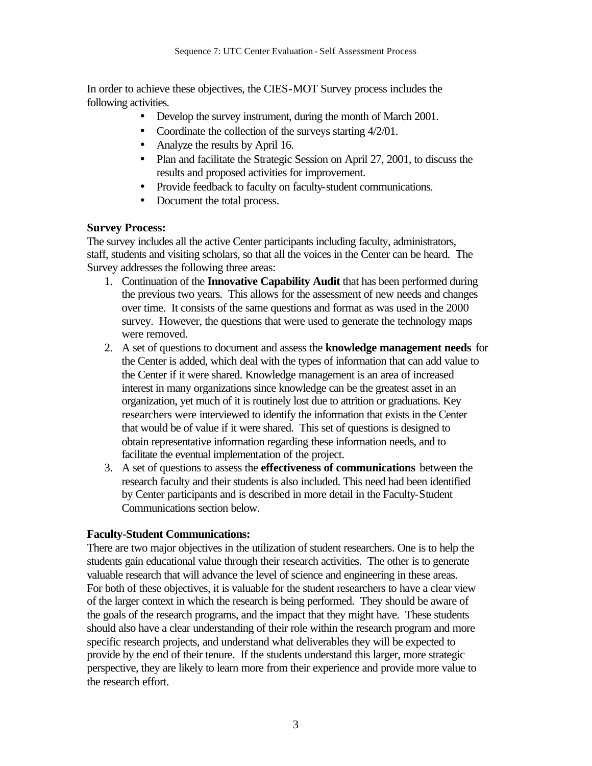In order to achieve these objectives, the CIES-MOT Survey process includes the following activities.

- Develop the survey instrument, during the month of March 2001.
- Coordinate the collection of the surveys starting  $4/2/01$ .
- Analyze the results by April 16.
- Plan and facilitate the Strategic Session on April 27, 2001, to discuss the results and proposed activities for improvement.
- Provide feedback to faculty on faculty-student communications.
- Document the total process.

# **Survey Process:**

The survey includes all the active Center participants including faculty, administrators, staff, students and visiting scholars, so that all the voices in the Center can be heard. The Survey addresses the following three areas:

- 1. Continuation of the **Innovative Capability Audit** that has been performed during the previous two years. This allows for the assessment of new needs and changes over time. It consists of the same questions and format as was used in the 2000 survey. However, the questions that were used to generate the technology maps were removed.
- 2. A set of questions to document and assess the **knowledge management needs** for the Center is added, which deal with the types of information that can add value to the Center if it were shared. Knowledge management is an area of increased interest in many organizations since knowledge can be the greatest asset in an organization, yet much of it is routinely lost due to attrition or graduations. Key researchers were interviewed to identify the information that exists in the Center that would be of value if it were shared. This set of questions is designed to obtain representative information regarding these information needs, and to facilitate the eventual implementation of the project.
- 3. A set of questions to assess the **effectiveness of communications** between the research faculty and their students is also included. This need had been identified by Center participants and is described in more detail in the Faculty-Student Communications section below.

# **Faculty-Student Communications:**

There are two major objectives in the utilization of student researchers. One is to help the students gain educational value through their research activities. The other is to generate valuable research that will advance the level of science and engineering in these areas. For both of these objectives, it is valuable for the student researchers to have a clear view of the larger context in which the research is being performed. They should be aware of the goals of the research programs, and the impact that they might have. These students should also have a clear understanding of their role within the research program and more specific research projects, and understand what deliverables they will be expected to provide by the end of their tenure. If the students understand this larger, more strategic perspective, they are likely to learn more from their experience and provide more value to the research effort.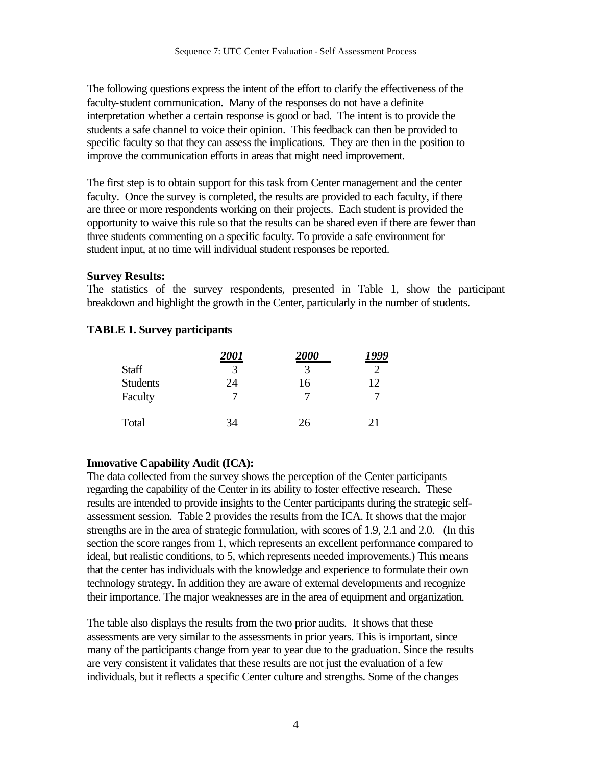The following questions express the intent of the effort to clarify the effectiveness of the faculty-student communication. Many of the responses do not have a definite interpretation whether a certain response is good or bad. The intent is to provide the students a safe channel to voice their opinion. This feedback can then be provided to specific faculty so that they can assess the implications. They are then in the position to improve the communication efforts in areas that might need improvement.

The first step is to obtain support for this task from Center management and the center faculty. Once the survey is completed, the results are provided to each faculty, if there are three or more respondents working on their projects. Each student is provided the opportunity to waive this rule so that the results can be shared even if there are fewer than three students commenting on a specific faculty. To provide a safe environment for student input, at no time will individual student responses be reported.

## **Survey Results:**

The statistics of the survey respondents, presented in Table 1, show the participant breakdown and highlight the growth in the Center, particularly in the number of students.

# **TABLE 1. Survey participants**

|                 | 2001 | <b>2000</b> | 1999 |
|-----------------|------|-------------|------|
| <b>Staff</b>    |      | 3           |      |
| <b>Students</b> | 24   | 16          | 12   |
| Faculty         |      |             |      |
| Total           | 34   | 26          | 21   |

# **Innovative Capability Audit (ICA):**

The data collected from the survey shows the perception of the Center participants regarding the capability of the Center in its ability to foster effective research. These results are intended to provide insights to the Center participants during the strategic selfassessment session. Table 2 provides the results from the ICA. It shows that the major strengths are in the area of strategic formulation, with scores of 1.9, 2.1 and 2.0. (In this section the score ranges from 1, which represents an excellent performance compared to ideal, but realistic conditions, to 5, which represents needed improvements.) This means that the center has individuals with the knowledge and experience to formulate their own technology strategy. In addition they are aware of external developments and recognize their importance. The major weaknesses are in the area of equipment and organization.

The table also displays the results from the two prior audits. It shows that these assessments are very similar to the assessments in prior years. This is important, since many of the participants change from year to year due to the graduation. Since the results are very consistent it validates that these results are not just the evaluation of a few individuals, but it reflects a specific Center culture and strengths. Some of the changes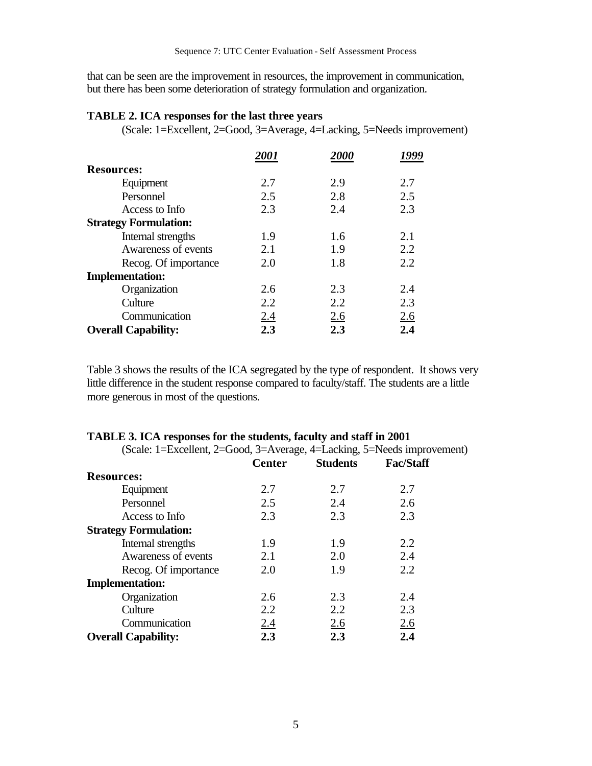that can be seen are the improvement in resources, the improvement in communication, but there has been some deterioration of strategy formulation and organization.

#### **TABLE 2. ICA responses for the last three years**

(Scale: 1=Excellent, 2=Good, 3=Average, 4=Lacking, 5=Needs improvement)

|                              | <i>2001</i> | <i>2000</i> |     |
|------------------------------|-------------|-------------|-----|
| <b>Resources:</b>            |             |             |     |
| Equipment                    | 2.7         | 2.9         | 2.7 |
| Personnel                    | 2.5         | 2.8         | 2.5 |
| Access to Info               | 2.3         | 2.4         | 2.3 |
| <b>Strategy Formulation:</b> |             |             |     |
| Internal strengths           | 1.9         | 1.6         | 2.1 |
| Awareness of events          | 2.1         | 1.9         | 2.2 |
| Recog. Of importance         | 2.0         | 1.8         | 2.2 |
| <b>Implementation:</b>       |             |             |     |
| Organization                 | 2.6         | 2.3         | 2.4 |
| Culture                      | 2.2         | 2.2         | 2.3 |
| Communication                | 2.4         | 2.6         | 2.6 |
| <b>Overall Capability:</b>   | 2.3         | 2.3         | 2.4 |

Table 3 shows the results of the ICA segregated by the type of respondent. It shows very little difference in the student response compared to faculty/staff. The students are a little more generous in most of the questions.

| (Scale: 1=Excellent, 2=Good, 3=Average, 4=Lacking, 5=Needs improvement) |               |                 |                  |
|-------------------------------------------------------------------------|---------------|-----------------|------------------|
|                                                                         | <b>Center</b> | <b>Students</b> | <b>Fac/Staff</b> |
| <b>Resources:</b>                                                       |               |                 |                  |
| Equipment                                                               | 2.7           | 2.7             | 2.7              |
| Personnel                                                               | 2.5           | 2.4             | 2.6              |
| Access to Info                                                          | 2.3           | 2.3             | 2.3              |
| <b>Strategy Formulation:</b>                                            |               |                 |                  |
| Internal strengths                                                      | 1.9           | 1.9             | 2.2              |
| Awareness of events                                                     | 2.1           | 2.0             | 2.4              |
| Recog. Of importance                                                    | 2.0           | 1.9             | 2.2              |
| <b>Implementation:</b>                                                  |               |                 |                  |
| Organization                                                            | 2.6           | 2.3             | 2.4              |
| Culture                                                                 | 2.2           | 2.2             | 2.3              |
| Communication                                                           | 2.4           | 2.6             | 2.6              |
| <b>Overall Capability:</b>                                              | 2.3           | 2.3             | 2.4              |

# **TABLE 3. ICA responses for the students, faculty and staff in 2001**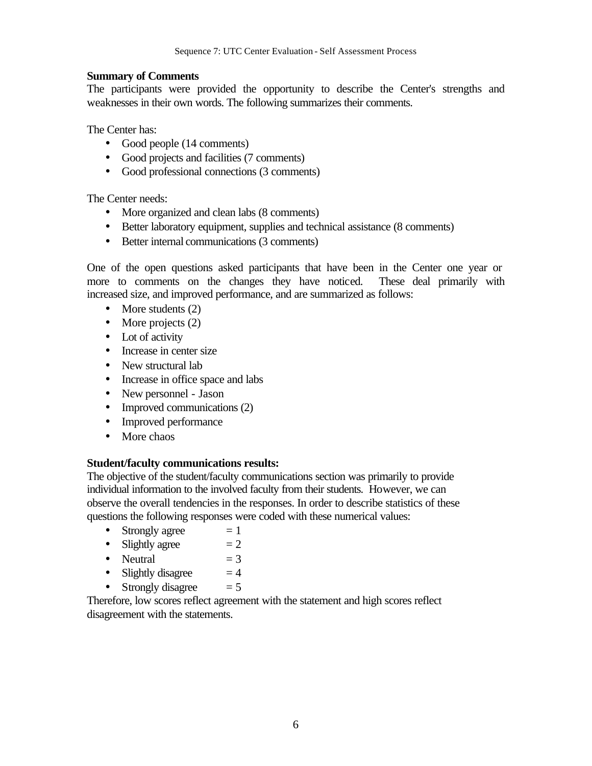## **Summary of Comments**

The participants were provided the opportunity to describe the Center's strengths and weaknesses in their own words. The following summarizes their comments.

The Center has:

- Good people (14 comments)
- Good projects and facilities (7 comments)
- Good professional connections (3 comments)

The Center needs:

- More organized and clean labs (8 comments)
- Better laboratory equipment, supplies and technical assistance (8 comments)
- Better internal communications (3 comments)

One of the open questions asked participants that have been in the Center one year or more to comments on the changes they have noticed. These deal primarily with increased size, and improved performance, and are summarized as follows:

- More students (2)
- More projects (2)
- Lot of activity
- Increase in center size
- New structural lab
- Increase in office space and labs
- New personnel Jason
- Improved communications (2)
- Improved performance
- More chaos

# **Student/faculty communications results:**

The objective of the student/faculty communications section was primarily to provide individual information to the involved faculty from their students. However, we can observe the overall tendencies in the responses. In order to describe statistics of these questions the following responses were coded with these numerical values:

- Strongly agree  $= 1$
- Slightly agree  $= 2$
- Neutral  $= 3$
- Slightly disagree  $= 4$
- Strongly disagree  $= 5$

Therefore, low scores reflect agreement with the statement and high scores reflect disagreement with the statements.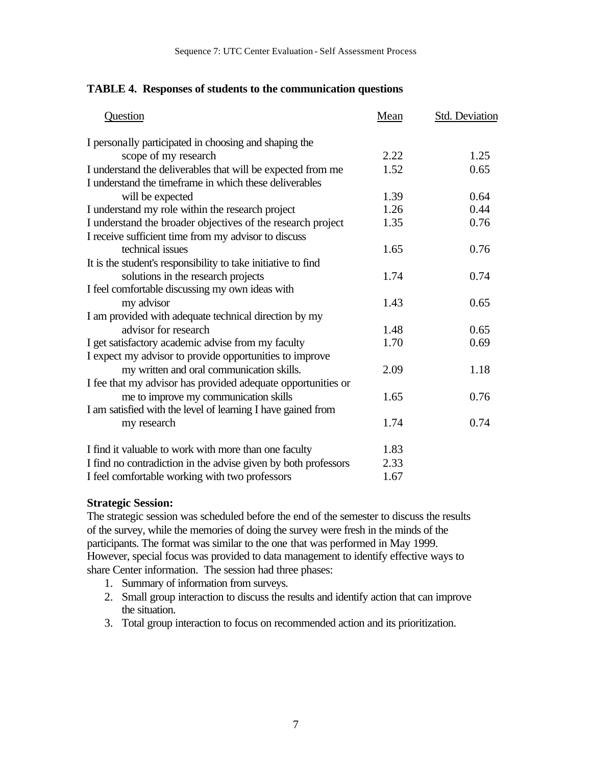## **TABLE 4. Responses of students to the communication questions**

| Question                                                                                                              | Mean | Std. Deviation |
|-----------------------------------------------------------------------------------------------------------------------|------|----------------|
| I personally participated in choosing and shaping the                                                                 |      |                |
| scope of my research                                                                                                  | 2.22 | 1.25           |
| I understand the deliverables that will be expected from me<br>I understand the timeframe in which these deliverables | 1.52 | 0.65           |
| will be expected                                                                                                      | 1.39 | 0.64           |
| I understand my role within the research project                                                                      | 1.26 | 0.44           |
| I understand the broader objectives of the research project                                                           | 1.35 | 0.76           |
| I receive sufficient time from my advisor to discuss                                                                  |      |                |
| technical issues                                                                                                      | 1.65 | 0.76           |
| It is the student's responsibility to take initiative to find                                                         |      |                |
| solutions in the research projects                                                                                    | 1.74 | 0.74           |
| I feel comfortable discussing my own ideas with                                                                       |      |                |
| my advisor                                                                                                            | 1.43 | 0.65           |
| I am provided with adequate technical direction by my                                                                 |      |                |
| advisor for research                                                                                                  | 1.48 | 0.65           |
| I get satisfactory academic advise from my faculty                                                                    | 1.70 | 0.69           |
| I expect my advisor to provide opportunities to improve                                                               |      |                |
| my written and oral communication skills.                                                                             | 2.09 | 1.18           |
| I fee that my advisor has provided adequate opportunities or                                                          |      |                |
| me to improve my communication skills                                                                                 | 1.65 | 0.76           |
| I am satisfied with the level of learning I have gained from                                                          |      |                |
| my research                                                                                                           | 1.74 | 0.74           |
| I find it valuable to work with more than one faculty                                                                 | 1.83 |                |
| I find no contradiction in the advise given by both professors                                                        | 2.33 |                |
| I feel comfortable working with two professors                                                                        | 1.67 |                |

#### **Strategic Session:**

The strategic session was scheduled before the end of the semester to discuss the results of the survey, while the memories of doing the survey were fresh in the minds of the participants. The format was similar to the one that was performed in May 1999. However, special focus was provided to data management to identify effective ways to share Center information. The session had three phases:

- 1. Summary of information from surveys.
- 2. Small group interaction to discuss the results and identify action that can improve the situation.
- 3. Total group interaction to focus on recommended action and its prioritization.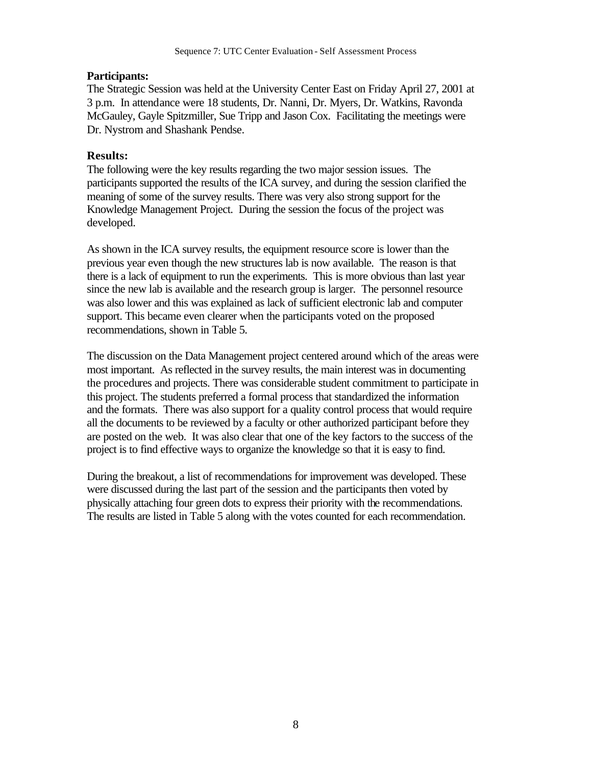# **Participants:**

The Strategic Session was held at the University Center East on Friday April 27, 2001 at 3 p.m. In attendance were 18 students, Dr. Nanni, Dr. Myers, Dr. Watkins, Ravonda McGauley, Gayle Spitzmiller, Sue Tripp and Jason Cox. Facilitating the meetings were Dr. Nystrom and Shashank Pendse.

# **Results:**

The following were the key results regarding the two major session issues. The participants supported the results of the ICA survey, and during the session clarified the meaning of some of the survey results. There was very also strong support for the Knowledge Management Project. During the session the focus of the project was developed.

As shown in the ICA survey results, the equipment resource score is lower than the previous year even though the new structures lab is now available. The reason is that there is a lack of equipment to run the experiments. This is more obvious than last year since the new lab is available and the research group is larger. The personnel resource was also lower and this was explained as lack of sufficient electronic lab and computer support. This became even clearer when the participants voted on the proposed recommendations, shown in Table 5.

The discussion on the Data Management project centered around which of the areas were most important. As reflected in the survey results, the main interest was in documenting the procedures and projects. There was considerable student commitment to participate in this project. The students preferred a formal process that standardized the information and the formats. There was also support for a quality control process that would require all the documents to be reviewed by a faculty or other authorized participant before they are posted on the web. It was also clear that one of the key factors to the success of the project is to find effective ways to organize the knowledge so that it is easy to find.

During the breakout, a list of recommendations for improvement was developed. These were discussed during the last part of the session and the participants then voted by physically attaching four green dots to express their priority with the recommendations. The results are listed in Table 5 along with the votes counted for each recommendation.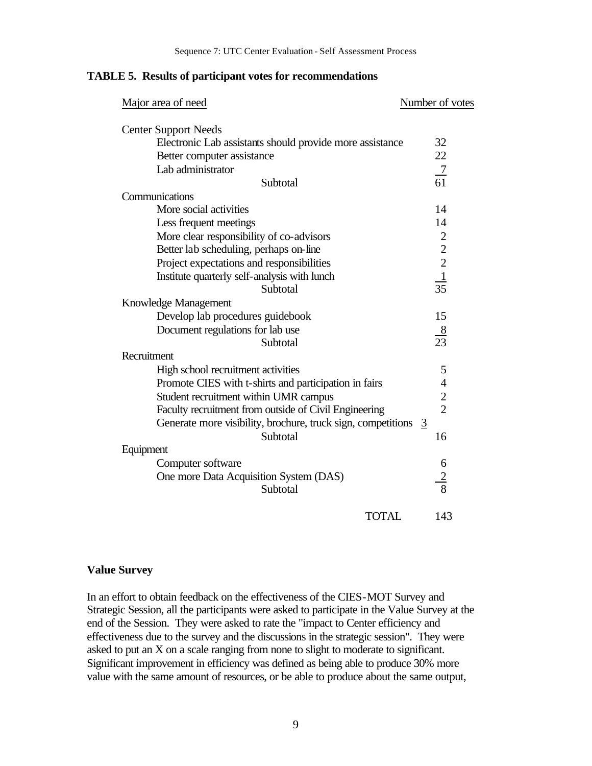#### **TABLE 5. Results of participant votes for recommendations**

| Major area of need                                             | Number of votes                                                   |
|----------------------------------------------------------------|-------------------------------------------------------------------|
| <b>Center Support Needs</b>                                    |                                                                   |
| Electronic Lab assistants should provide more assistance       | 32                                                                |
| Better computer assistance                                     | 22                                                                |
| Lab administrator                                              |                                                                   |
| Subtotal                                                       | $\frac{7}{61}$                                                    |
| Communications                                                 |                                                                   |
| More social activities                                         | 14                                                                |
| Less frequent meetings                                         | 14                                                                |
| More clear responsibility of co-advisors                       |                                                                   |
| Better lab scheduling, perhaps on-line                         |                                                                   |
| Project expectations and responsibilities                      | $\begin{array}{c} 2 \\ 2 \\ 2 \\ \underline{1} \\ 35 \end{array}$ |
| Institute quarterly self-analysis with lunch                   |                                                                   |
| Subtotal                                                       |                                                                   |
| Knowledge Management                                           |                                                                   |
| Develop lab procedures guidebook                               | 15                                                                |
| Document regulations for lab use                               | $\frac{8}{23}$                                                    |
| Subtotal                                                       |                                                                   |
| Recruitment                                                    |                                                                   |
| High school recruitment activities                             | 5                                                                 |
| Promote CIES with t-shirts and participation in fairs          | $\overline{4}$                                                    |
| Student recruitment within UMR campus                          | $\frac{2}{2}$                                                     |
| Faculty recruitment from outside of Civil Engineering          |                                                                   |
| Generate more visibility, brochure, truck sign, competitions 3 |                                                                   |
| Subtotal                                                       | 16                                                                |
| Equipment                                                      |                                                                   |
| Computer software                                              | 6                                                                 |
| One more Data Acquisition System (DAS)                         | $\frac{2}{8}$                                                     |
| Subtotal                                                       |                                                                   |
| <b>TOTAL</b>                                                   | 143                                                               |

## **Value Survey**

In an effort to obtain feedback on the effectiveness of the CIES-MOT Survey and Strategic Session, all the participants were asked to participate in the Value Survey at the end of the Session. They were asked to rate the "impact to Center efficiency and effectiveness due to the survey and the discussions in the strategic session". They were asked to put an X on a scale ranging from none to slight to moderate to significant. Significant improvement in efficiency was defined as being able to produce 30% more value with the same amount of resources, or be able to produce about the same output,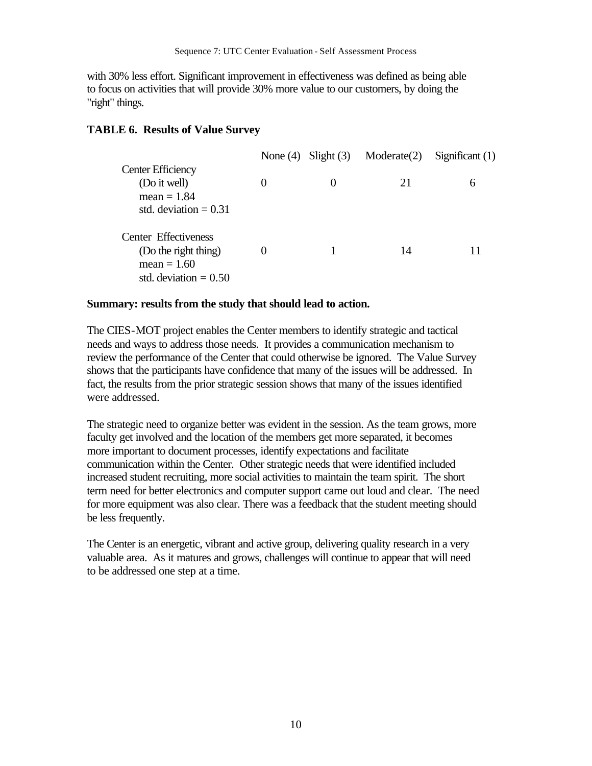with 30% less effort. Significant improvement in effectiveness was defined as being able to focus on activities that will provide 30% more value to our customers, by doing the "right" things.

# **TABLE 6. Results of Value Survey**

|                          |          | None $(4)$ Slight $(3)$ | Modernate(2) | Significant $(1)$ |
|--------------------------|----------|-------------------------|--------------|-------------------|
| <b>Center Efficiency</b> |          |                         |              |                   |
| (Do it well)             | $\theta$ |                         | 21           | 6                 |
| mean $= 1.84$            |          |                         |              |                   |
| std. deviation $= 0.31$  |          |                         |              |                   |
| Center Effectiveness     |          |                         |              |                   |
| (Do the right thing)     |          |                         | 14           |                   |
| mean $= 1.60$            |          |                         |              |                   |
| std. deviation $= 0.50$  |          |                         |              |                   |

## **Summary: results from the study that should lead to action.**

The CIES-MOT project enables the Center members to identify strategic and tactical needs and ways to address those needs. It provides a communication mechanism to review the performance of the Center that could otherwise be ignored. The Value Survey shows that the participants have confidence that many of the issues will be addressed. In fact, the results from the prior strategic session shows that many of the issues identified were addressed.

The strategic need to organize better was evident in the session. As the team grows, more faculty get involved and the location of the members get more separated, it becomes more important to document processes, identify expectations and facilitate communication within the Center. Other strategic needs that were identified included increased student recruiting, more social activities to maintain the team spirit. The short term need for better electronics and computer support came out loud and clear. The need for more equipment was also clear. There was a feedback that the student meeting should be less frequently.

The Center is an energetic, vibrant and active group, delivering quality research in a very valuable area. As it matures and grows, challenges will continue to appear that will need to be addressed one step at a time.